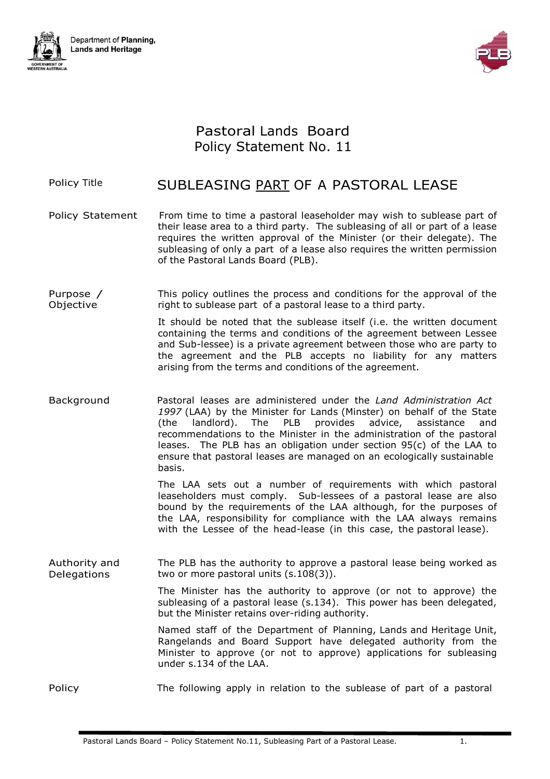



## Pastoral Lands Board Policy Statement No. 11

## Policy Title **SUBLEASING PART OF A PASTORAL LEASE**

- Policy Statement From time to time a pastoral leaseholder may wish to sublease part of their lease area to a third party. The subleasing of all or part of a lease requires the written approval of the Minister (or their delegate). The subleasing of only a part of a lease also requires the written permission of the Pastoral Lands Board (PLB).
- Purpose / Objective This policy outlines the process and conditions for the approval of the right to sublease part of a pastoral lease to a third party.

It should be noted that the sublease itself (i.e. the written document containing the terms and conditions of the agreement between Lessee and Sub-lessee) is a private agreement between those who are party to the agreement and the PLB accepts no liability for any matters arising from the terms and conditions of the agreement.

Background Pastoral leases are administered under the *Land Administration Act 1997* (LAA) by the Minister for Lands (Minster) on behalf of the State (the landlord). The PLB provides advice, assistance and recommendations to the Minister in the administration of the pastoral leases. The PLB has an obligation under section 95(c) of the LAA to ensure that pastoral leases are managed on an ecologically sustainable basis.

> The LAA sets out a number of requirements with which pastoral leaseholders must comply. Sub-lessees of a pastoral lease are also bound by the requirements of the LAA although, for the purposes of the LAA, responsibility for compliance with the LAA always remains with the Lessee of the head-lease (in this case, the pastoral lease).

Authority and Delegations The PLB has the authority to approve a pastoral lease being worked as two or more pastoral units (s.108(3)).

> The Minister has the authority to approve (or not to approve) the subleasing of a pastoral lease (s.134). This power has been delegated, but the Minister retains over-riding authority.

> Named staff of the Department of Planning, Lands and Heritage Unit, Rangelands and Board Support have delegated authority from the Minister to approve (or not to approve) applications for subleasing under s.134 of the LAA.

Policy The following apply in relation to the sublease of part of a pastoral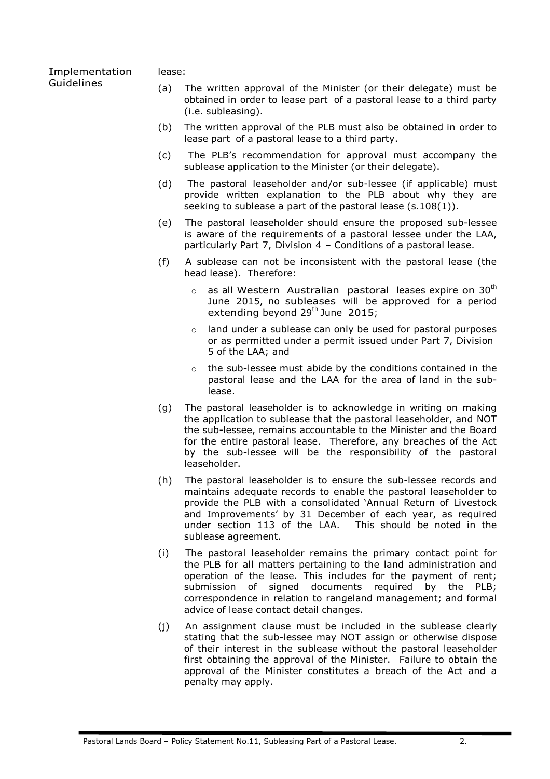## lease:

Implementation Guidelines

- (a) The written approval of the Minister (or their delegate) must be obtained in order to lease part of a pastoral lease to a third party (i.e. subleasing).
- (b) The written approval of the PLB must also be obtained in order to lease part of a pastoral lease to a third party.
- (c) The PLB's recommendation for approval must accompany the sublease application to the Minister (or their delegate).
- (d) The pastoral leaseholder and/or sub-lessee (if applicable) must provide written explanation to the PLB about why they are seeking to sublease a part of the pastoral lease (s.108(1)).
- (e) The pastoral leaseholder should ensure the proposed sub-lessee is aware of the requirements of a pastoral lessee under the LAA, particularly Part 7, Division 4 – Conditions of a pastoral lease.
- (f) A sublease can not be inconsistent with the pastoral lease (the head lease). Therefore:
	- $\circ$  as all Western Australian pastoral leases expire on 30<sup>th</sup> June 2015, no subleases will be approved for a period extending beyond  $29<sup>th</sup>$  June  $2015$ ;
	- o land under a sublease can only be used for pastoral purposes or as permitted under a permit issued under Part 7, Division 5 of the LAA; and
	- o the sub-lessee must abide by the conditions contained in the pastoral lease and the LAA for the area of land in the sublease.
- (g) The pastoral leaseholder is to acknowledge in writing on making the application to sublease that the pastoral leaseholder, and NOT the sub-lessee, remains accountable to the Minister and the Board for the entire pastoral lease. Therefore, any breaches of the Act by the sub-lessee will be the responsibility of the pastoral leaseholder.
- (h) The pastoral leaseholder is to ensure the sub-lessee records and maintains adequate records to enable the pastoral leaseholder to provide the PLB with a consolidated 'Annual Return of Livestock and Improvements' by 31 December of each year, as required under section 113 of the LAA. This should be noted in the sublease agreement.
- (i) The pastoral leaseholder remains the primary contact point for the PLB for all matters pertaining to the land administration and operation of the lease. This includes for the payment of rent; submission of signed documents required by the PLB; correspondence in relation to rangeland management; and formal advice of lease contact detail changes.
- (j) An assignment clause must be included in the sublease clearly stating that the sub-lessee may NOT assign or otherwise dispose of their interest in the sublease without the pastoral leaseholder first obtaining the approval of the Minister. Failure to obtain the approval of the Minister constitutes a breach of the Act and a penalty may apply.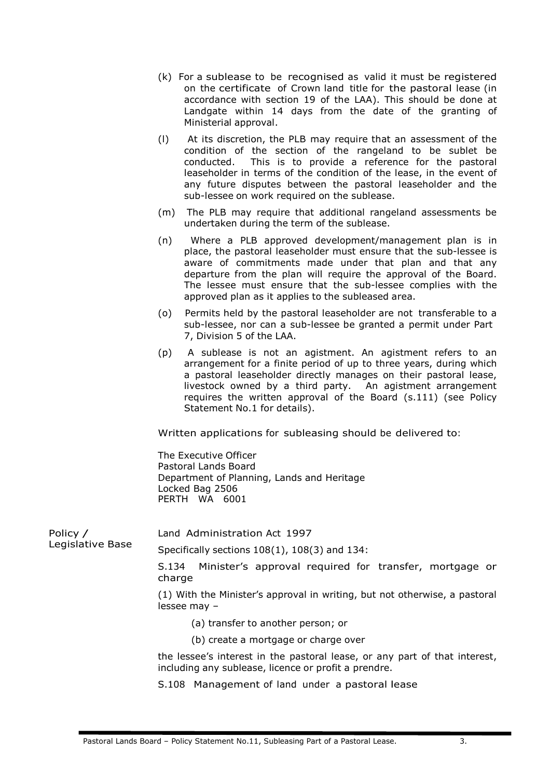- (k) For a sublease to be recognised as valid it must be registered on the certificate of Crown land title for the pastoral lease (in accordance with section 19 of the LAA). This should be done at Landgate within 14 days from the date of the granting of Ministerial approval.
- (l) At its discretion, the PLB may require that an assessment of the condition of the section of the rangeland to be sublet be conducted. This is to provide a reference for the pastoral leaseholder in terms of the condition of the lease, in the event of any future disputes between the pastoral leaseholder and the sub-lessee on work required on the sublease.
- (m) The PLB may require that additional rangeland assessments be undertaken during the term of the sublease.
- (n) Where a PLB approved development/management plan is in place, the pastoral leaseholder must ensure that the sub-lessee is aware of commitments made under that plan and that any departure from the plan will require the approval of the Board. The lessee must ensure that the sub-lessee complies with the approved plan as it applies to the subleased area.
- (o) Permits held by the pastoral leaseholder are not transferable to a sub-lessee, nor can a sub-lessee be granted a permit under Part 7, Division 5 of the LAA.
- (p) A sublease is not an agistment. An agistment refers to an arrangement for a finite period of up to three years, during which a pastoral leaseholder directly manages on their pastoral lease, livestock owned by a third party. An agistment arrangement requires the written approval of the Board (s.111) (see Policy Statement No.1 for details).

Written applications for subleasing should be delivered to:

The Executive Officer Pastoral Lands Board Department of Planning, Lands and Heritage Locked Bag 2506 PERTH WA 6001

Policy / Legislative Base Land Administration Act 1997

Specifically sections 108(1), 108(3) and 134:

S.134 Minister's approval required for transfer, mortgage or charge

(1) With the Minister's approval in writing, but not otherwise, a pastoral lessee may –

- (a) transfer to another person; or
- (b) create a mortgage or charge over

the lessee's interest in the pastoral lease, or any part of that interest, including any sublease, licence or profit a prendre.

S.108 Management of land under a pastoral lease